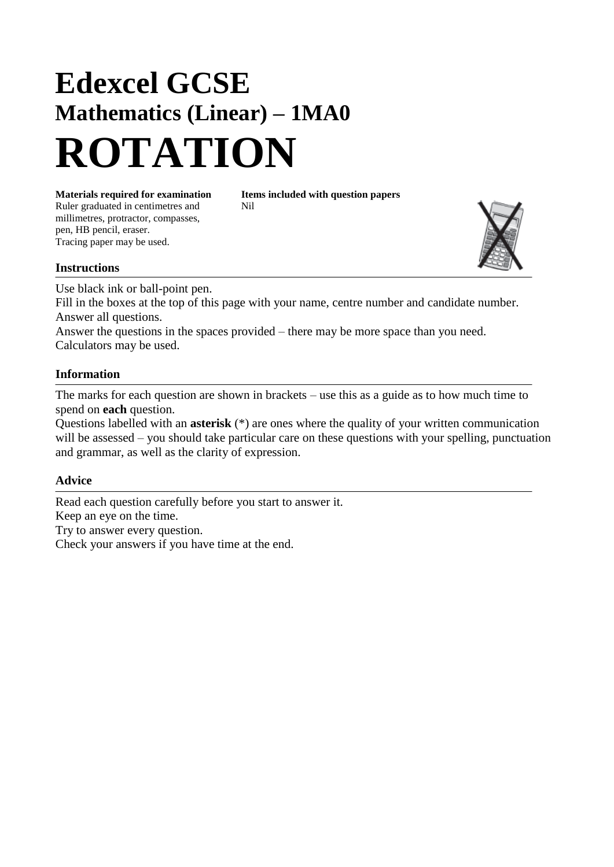## **Edexcel GCSE Mathematics (Linear) – 1MA0 ROTATION**

Ruler graduated in centimetres and Nil millimetres, protractor, compasses, pen, HB pencil, eraser. Tracing paper may be used.

**Materials required for examination Items included with question papers**

## **Instructions**

Use black ink or ball-point pen. Fill in the boxes at the top of this page with your name, centre number and candidate number. Answer all questions.

Answer the questions in the spaces provided – there may be more space than you need. Calculators may be used.

## **Information**

The marks for each question are shown in brackets – use this as a guide as to how much time to spend on **each** question.

Questions labelled with an **asterisk** (\*) are ones where the quality of your written communication will be assessed – you should take particular care on these questions with your spelling, punctuation and grammar, as well as the clarity of expression.

## **Advice**

Read each question carefully before you start to answer it. Keep an eye on the time. Try to answer every question. Check your answers if you have time at the end.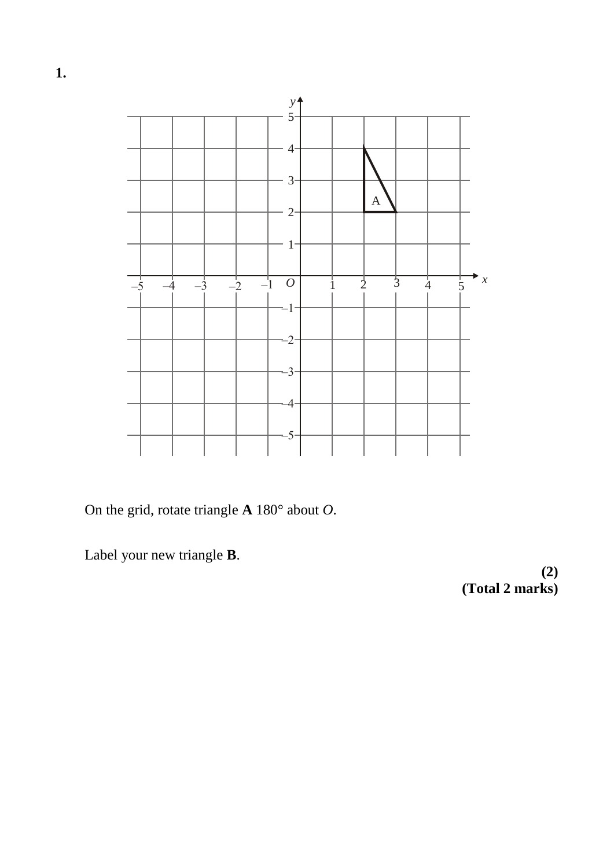

On the grid, rotate triangle **A** 180° about *O*.

Label your new triangle **B**.

**(2) (Total 2 marks)**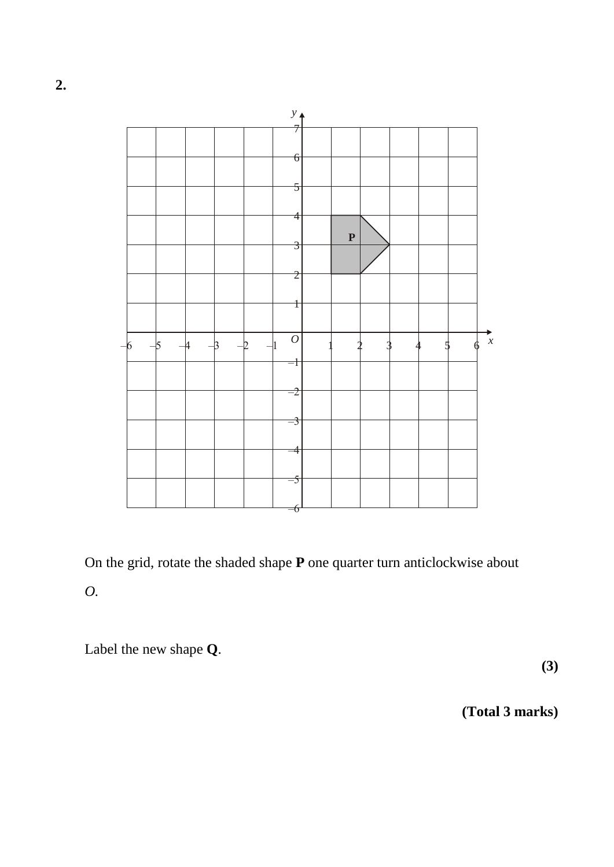

On the grid, rotate the shaded shape **P** one quarter turn anticlockwise about *O.*

Label the new shape **Q**.

**(3)**

**(Total 3 marks)**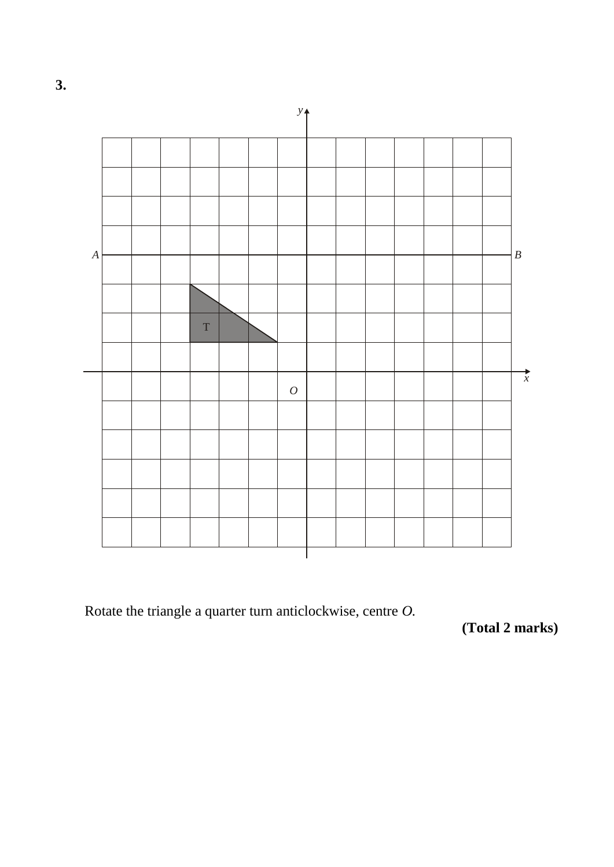



Rotate the triangle a quarter turn anticlockwise, centre *O.*

**(Total 2 marks)**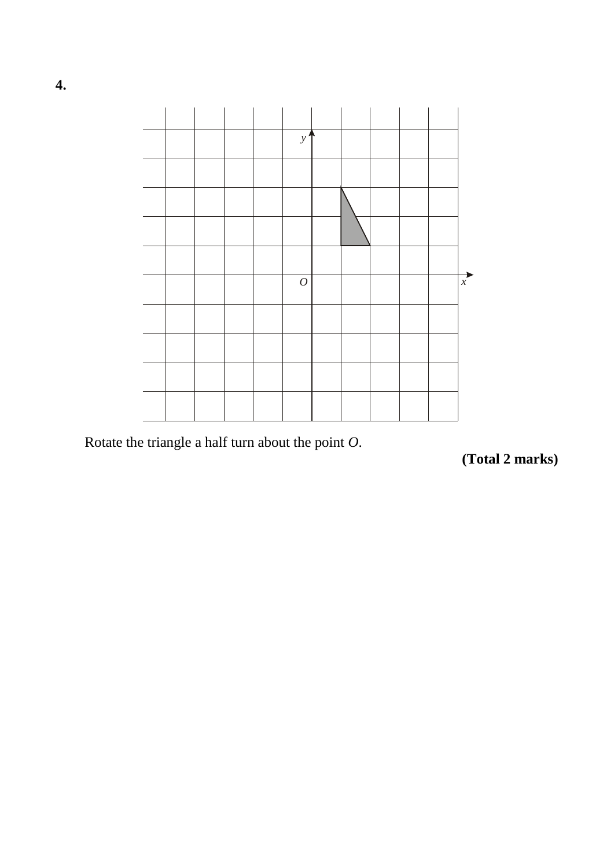

Rotate the triangle a half turn about the point *O*.

**(Total 2 marks)**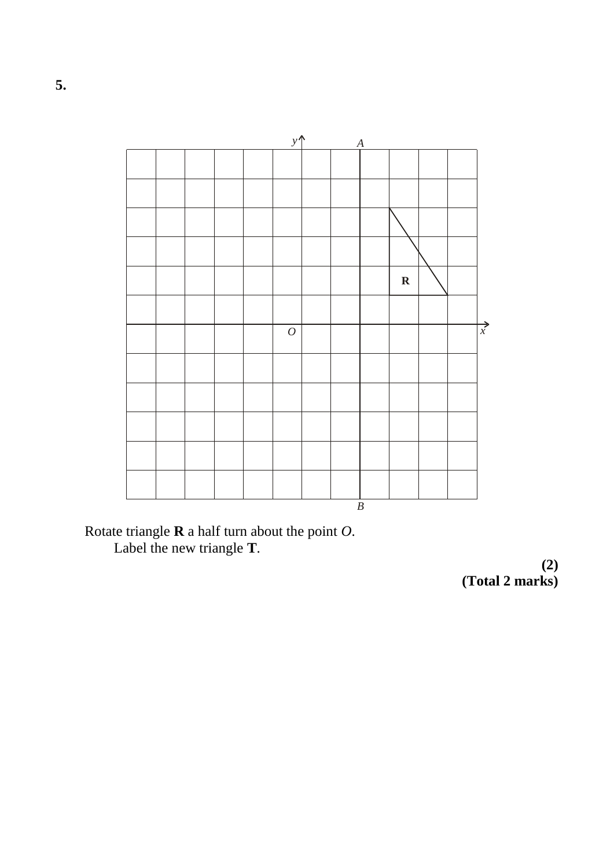

Rotate triangle **R** a half turn about the point *O*. Label the new triangle **T**.

**(2) (Total 2 marks)**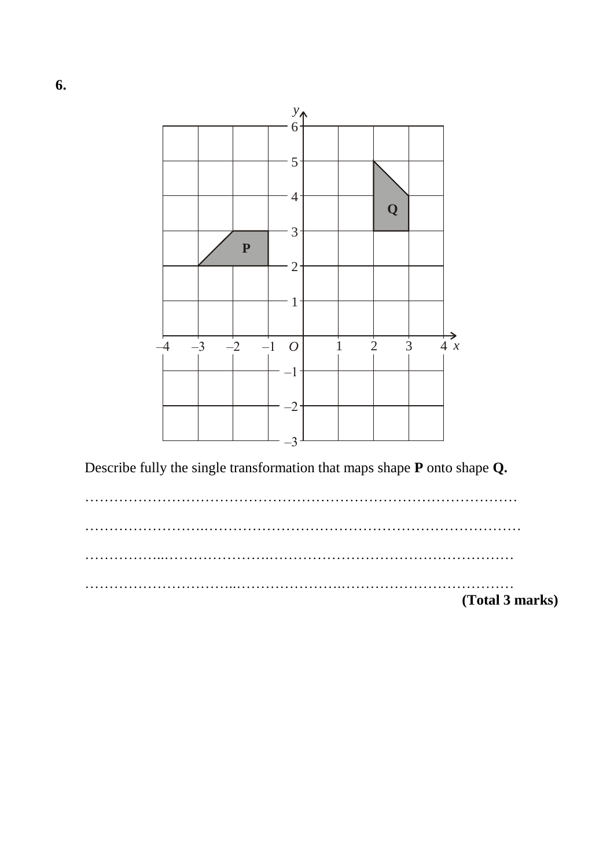

Describe fully the single transformation that maps shape **P** onto shape **Q.**

……………………………………………………………………………… …………………….………………………………………………………… ……………..………………….…………………………………………… …………………………..………………….……………………………… **(Total 3 marks)**